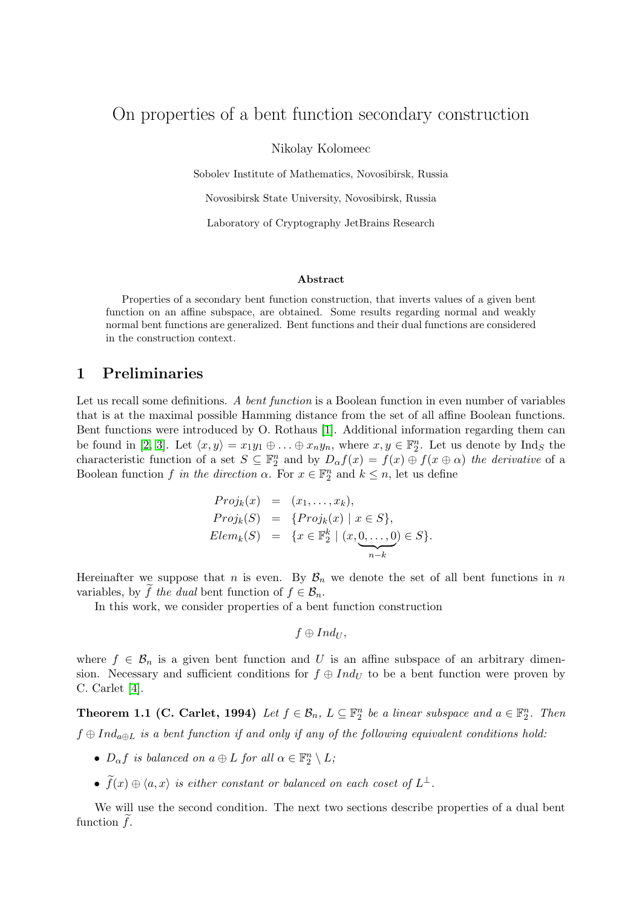# On properties of a bent function secondary construction

Nikolay Kolomeec

Sobolev Institute of Mathematics, Novosibirsk, Russia

Novosibirsk State University, Novosibirsk, Russia

Laboratory of Cryptography JetBrains Research

#### Abstract

Properties of a secondary bent function construction, that inverts values of a given bent function on an affine subspace, are obtained. Some results regarding normal and weakly normal bent functions are generalized. Bent functions and their dual functions are considered in the construction context.

## 1 Preliminaries

Let us recall some definitions. A bent function is a Boolean function in even number of variables that is at the maximal possible Hamming distance from the set of all affine Boolean functions. Bent functions were introduced by O. Rothaus [\[1\]](#page-3-0). Additional information regarding them can be found in [\[2,](#page-3-1) [3\]](#page-3-2). Let  $\langle x, y \rangle = x_1y_1 \oplus \ldots \oplus x_ny_n$ , where  $x, y \in \mathbb{F}_2^n$ . Let us denote by Ind<sub>S</sub> the characteristic function of a set  $S \subseteq \mathbb{F}_2^n$  and by  $D_{\alpha} f(x) = f(x) \oplus f(x \oplus \alpha)$  the derivative of a Boolean function f in the direction  $\alpha$ . For  $x \in \mathbb{F}_2^n$  and  $k \leq n$ , let us define

$$
Proj_k(x) = (x_1, ..., x_k),
$$
  
\n
$$
Proj_k(S) = \{Proj_k(x) | x \in S\},
$$
  
\n
$$
Elem_k(S) = \{x \in \mathbb{F}_2^k \mid (x, \underbrace{0, ..., 0}_{n-k}) \in S\}.
$$

Hereinafter we suppose that n is even. By  $\mathcal{B}_n$  we denote the set of all bent functions in n variables, by f the dual bent function of  $f \in \mathcal{B}_n$ .

In this work, we consider properties of a bent function construction

$$
f\oplus Ind_{U},
$$

<span id="page-0-0"></span>where  $f \in \mathcal{B}_n$  is a given bent function and U is an affine subspace of an arbitrary dimension. Necessary and sufficient conditions for  $f \oplus Ind_U$  to be a bent function were proven by C. Carlet [\[4\]](#page-3-3).

**Theorem 1.1 (C. Carlet, 1994)** Let  $f \in \mathcal{B}_n$ ,  $L \subseteq \mathbb{F}_2^n$  be a linear subspace and  $a \in \mathbb{F}_2^n$ . Then  $f \oplus Ind_{a \oplus L}$  is a bent function if and only if any of the following equivalent conditions hold:

- $D_{\alpha} f$  is balanced on  $a \oplus L$  for all  $\alpha \in \mathbb{F}_2^n \setminus L$ ;
- $\tilde{f}(x) \oplus \langle a, x \rangle$  is either constant or balanced on each coset of  $L^{\perp}$ .

We will use the second condition. The next two sections describe properties of a dual bent function  $f$ .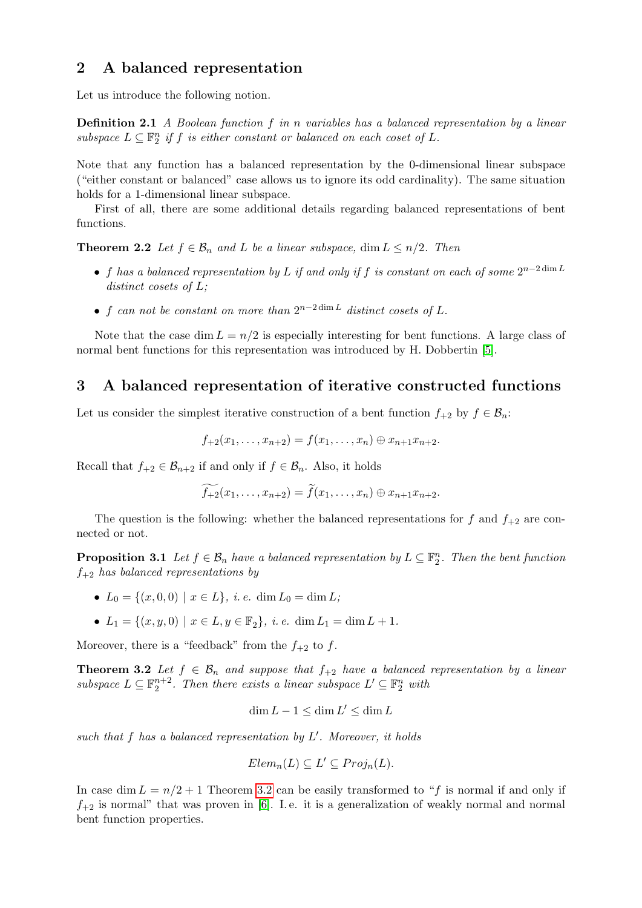### 2 A balanced representation

Let us introduce the following notion.

Definition 2.1 A Boolean function f in n variables has a balanced representation by a linear subspace  $L \subseteq \mathbb{F}_2^n$  if f is either constant or balanced on each coset of L.

Note that any function has a balanced representation by the 0-dimensional linear subspace ("either constant or balanced" case allows us to ignore its odd cardinality). The same situation holds for a 1-dimensional linear subspace.

First of all, there are some additional details regarding balanced representations of bent functions.

**Theorem 2.2** Let  $f \in \mathcal{B}_n$  and L be a linear subspace, dim  $L \leq n/2$ . Then

- f has a balanced representation by L if and only if f is constant on each of some  $2^{n-2 \dim L}$ distinct cosets of L;
- f can not be constant on more than  $2^{n-2 \dim L}$  distinct cosets of L.

Note that the case dim  $L = n/2$  is especially interesting for bent functions. A large class of normal bent functions for this representation was introduced by H. Dobbertin [\[5\]](#page-3-4).

### <span id="page-1-1"></span>3 A balanced representation of iterative constructed functions

Let us consider the simplest iterative construction of a bent function  $f_{+2}$  by  $f \in \mathcal{B}_n$ :

$$
f_{+2}(x_1,\ldots,x_{n+2})=f(x_1,\ldots,x_n)\oplus x_{n+1}x_{n+2}.
$$

Recall that  $f_{+2} \in \mathcal{B}_{n+2}$  if and only if  $f \in \mathcal{B}_n$ . Also, it holds

$$
\widetilde{f_{+2}}(x_1,\ldots,x_{n+2})=\widetilde{f}(x_1,\ldots,x_n)\oplus x_{n+1}x_{n+2}.
$$

The question is the following: whether the balanced representations for f and  $f_{+2}$  are connected or not.

**Proposition 3.1** Let  $f \in \mathcal{B}_n$  have a balanced representation by  $L \subseteq \mathbb{F}_2^n$ . Then the bent function  $f_{+2}$  has balanced representations by

- $L_0 = \{(x, 0, 0) \mid x \in L\}, i.e. \dim L_0 = \dim L;$
- $L_1 = \{(x, y, 0) \mid x \in L, y \in \mathbb{F}_2\}, \ i. \ e. \ \dim L_1 = \dim L + 1.$

Moreover, there is a "feedback" from the  $f_{+2}$  to f.

**Theorem 3.2** Let  $f \in \mathcal{B}_n$  and suppose that  $f_{+2}$  have a balanced representation by a linear subspace  $L \subseteq \mathbb{F}_2^{n+2}$ . Then there exists a linear subspace  $L' \subseteq \mathbb{F}_2^n$  with

<span id="page-1-0"></span>
$$
\dim L - 1 \leq \dim L' \leq \dim L
$$

such that  $f$  has a balanced representation by  $L'$ . Moreover, it holds

$$
Elem_n(L) \subseteq L' \subseteq Proj_n(L).
$$

In case dim  $L = n/2 + 1$  Theorem [3.2](#page-1-0) can be easily transformed to "f is normal if and only if  $f_{+2}$  is normal" that was proven in [\[6\]](#page-3-5). I.e. it is a generalization of weakly normal and normal bent function properties.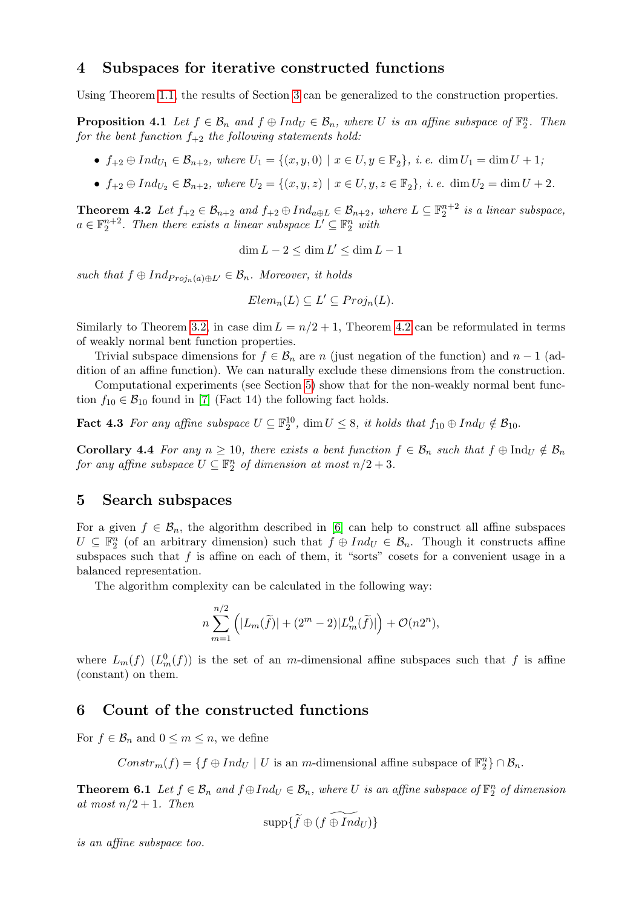### 4 Subspaces for iterative constructed functions

Using Theorem [1.1,](#page-0-0) the results of Section [3](#page-1-1) can be generalized to the construction properties.

**Proposition 4.1** Let  $f \in \mathcal{B}_n$  and  $f \oplus Ind_{U} \in \mathcal{B}_n$ , where U is an affine subspace of  $\mathbb{F}_2^n$ . Then for the bent function  $f_{+2}$  the following statements hold:

- $f_{+2} \oplus Ind_{U_1} \in \mathcal{B}_{n+2}$ , where  $U_1 = \{(x, y, 0) \mid x \in U, y \in \mathbb{F}_2\}$ , i.e.  $\dim U_1 = \dim U + 1$ ;
- $f_{+2} \oplus Ind_{U_2} \in \mathcal{B}_{n+2}$ , where  $U_2 = \{(x, y, z) \mid x \in U, y, z \in \mathbb{F}_2\}$ , i.e.  $\dim U_2 = \dim U + 2$ .

<span id="page-2-0"></span>**Theorem 4.2** Let  $f_{+2} \in \mathcal{B}_{n+2}$  and  $f_{+2} \oplus Ind_{a \oplus L} \in \mathcal{B}_{n+2}$ , where  $L \subseteq \mathbb{F}_2^{n+2}$  is a linear subspace,  $a \in \mathbb{F}_2^{n+2}$ . Then there exists a linear subspace  $L' \subseteq \mathbb{F}_2^n$  with

 $\dim L - 2 \leq \dim L' \leq \dim L - 1$ 

such that  $f \oplus Ind_{Proj_n(a) \oplus L'} \in \mathcal{B}_n$ . Moreover, it holds

$$
Elem_n(L) \subseteq L' \subseteq Proj_n(L).
$$

Similarly to Theorem [3.2,](#page-1-0) in case dim  $L = n/2 + 1$ , Theorem [4.2](#page-2-0) can be reformulated in terms of weakly normal bent function properties.

Trivial subspace dimensions for  $f \in \mathcal{B}_n$  are n (just negation of the function) and  $n-1$  (addition of an affine function). We can naturally exclude these dimensions from the construction.

Computational experiments (see Section [5\)](#page-2-1) show that for the non-weakly normal bent function  $f_{10} \in \mathcal{B}_{10}$  found in [\[7\]](#page-3-6) (Fact 14) the following fact holds.

**Fact 4.3** For any affine subspace  $U \subseteq \mathbb{F}_2^{10}$ , dim  $U \leq 8$ , it holds that  $f_{10} \oplus Ind_{U} \notin \mathcal{B}_{10}$ .

**Corollary 4.4** For any  $n \geq 10$ , there exists a bent function  $f \in \mathcal{B}_n$  such that  $f \oplus \text{Ind}_U \notin \mathcal{B}_n$ for any affine subspace  $U \subseteq \mathbb{F}_2^n$  of dimension at most  $n/2 + 3$ .

#### <span id="page-2-1"></span>5 Search subspaces

For a given  $f \in \mathcal{B}_n$ , the algorithm described in [\[6\]](#page-3-5) can help to construct all affine subspaces  $U \subseteq \mathbb{F}_2^n$  (of an arbitrary dimension) such that  $f \oplus Ind_U \in \mathcal{B}_n$ . Though it constructs affine subspaces such that  $f$  is affine on each of them, it "sorts" cosets for a convenient usage in a balanced representation.

The algorithm complexity can be calculated in the following way:

$$
n\sum_{m=1}^{n/2} (|L_m(\tilde{f})| + (2^m - 2)|L_m^0(\tilde{f})|) + \mathcal{O}(n2^n),
$$

where  $L_m(f)$   $(L_m^0(f))$  is the set of an m-dimensional affine subspaces such that f is affine (constant) on them.

### 6 Count of the constructed functions

For  $f \in \mathcal{B}_n$  and  $0 \leq m \leq n$ , we define

 $Constr_m(f) = \{ f \oplus Ind_U \mid U \text{ is an } m\text{-dimensional affine subspace of } \mathbb{F}_2^n \} \cap \mathcal{B}_n.$ 

**Theorem 6.1** Let  $f \in \mathcal{B}_n$  and  $f \oplus Ind_{U} \in \mathcal{B}_n$ , where U is an affine subspace of  $\mathbb{F}_2^n$  of dimension at most  $n/2+1$ . Then

$$
\operatorname{supp}\{\widetilde{f}\oplus (\widetilde{f\oplus Ind_{U}})\}
$$

is an affine subspace too.